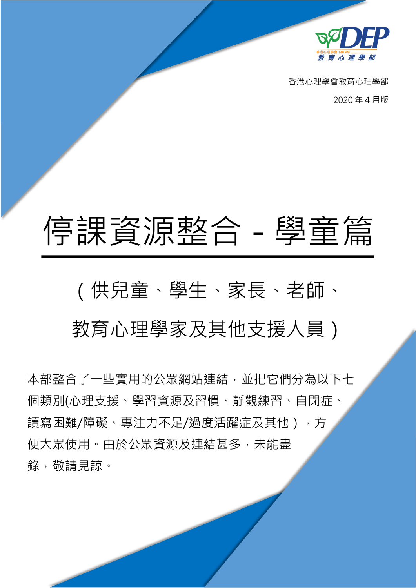

香港心理學會教育心理學部

2020 年 4 月版

# 停課資源整合 - 學童篇

# (供兒童、學生、家長、老師、

# 教育心理學家及其他支援人員)

本部整合了一些實用的公眾網站連結,並把它們分為以下七 個類別(心理支援、學習資源及習慣、靜觀練習、自閉症、 讀寫困難/障礙、專注力不足/過度活躍症及其他),方 便大眾使用。由於公眾資源及連結甚多,未能盡 錄,敬請見諒。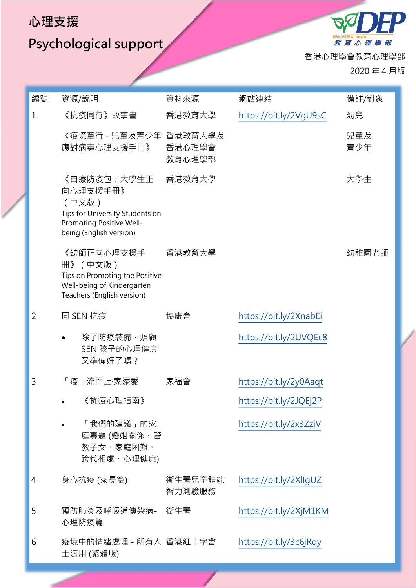#### **心理支援**

## **Psychological support**

教育心理學部 香港心理學會教育心理學部

 $\boldsymbol{\mathcal{B}}'$ 

2020 年 4 月版

| 編號             | 資源/說明                                                                                                                      | 資料來源              | 網站連結                   | 備註/對象      |
|----------------|----------------------------------------------------------------------------------------------------------------------------|-------------------|------------------------|------------|
| $\mathbf{1}$   | 《抗疫同行》故事書                                                                                                                  | 香港教育大學            | https://bit.ly/2VgU9sC | 幼兒         |
|                | 《疫境童行 - 兒童及青少年 香港教育大學及<br>應對病毒心理支援手冊》                                                                                      | 香港心理學會<br>教育心理學部  |                        | 兒童及<br>青少年 |
|                | 《自療防疫包:大學生正<br>向心理支援手冊》<br>(中文版)<br>Tips for University Students on<br>Promoting Positive Well-<br>being (English version) | 香港教育大學            |                        | 大學生        |
|                | 《幼師正向心理支援手<br>冊》 (中文版)<br>Tips on Promoting the Positive<br>Well-being of Kindergarten<br>Teachers (English version)       | 香港教育大學            |                        | 幼稚園老師      |
| $\overline{2}$ | 同 SEN 抗疫                                                                                                                   | 協康會               | https://bit.ly/2XnabEi |            |
|                | 除了防疫裝備,照顧<br>SEN 孩子的心理健康<br>又準備好了嗎?                                                                                        |                   | https://bit.ly/2UVQEc8 |            |
| 3              | 「疫」流而上·家添愛                                                                                                                 | 家福會               | https://bit.ly/2y0Aaqt |            |
|                | 《抗疫心理指南》                                                                                                                   |                   | https://bit.ly/2JQEj2P |            |
|                | 「我們的建議」的家<br>庭專題 (婚姻關係、管<br>教子女、家庭困難、<br>跨代相處、心理健康)                                                                        |                   | https://bit.ly/2x3ZziV |            |
| 4              | 身心抗疫 (家長篇)                                                                                                                 | 衞生署兒童體能<br>智力測驗服務 | https://bit.ly/2XllgUZ |            |
| 5              | 預防肺炎及呼吸道傳染病-<br>心理防疫篇                                                                                                      | 衛生署               | https://bit.ly/2XjM1KM |            |
| 6              | 疫境中的情緒處理 - 所有人 香港紅十字會<br>士適用 (繁體版)                                                                                         |                   | https://bit.ly/3c6jRqy |            |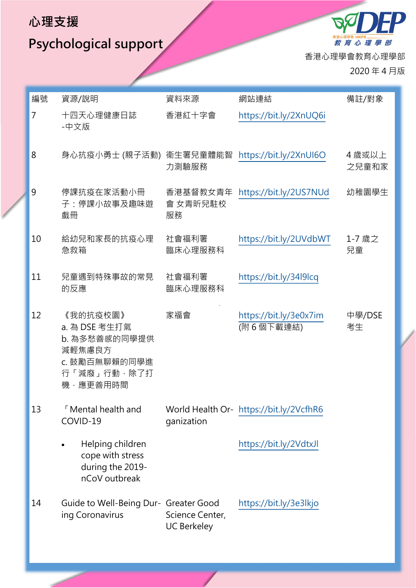#### **心理支援**

**Psychological support** 

教育心理學部 香港心理學會教育心理學部

 $B_{\mathcal{S}}$ 

2020 年 4 月版

| 編號 | 資源/說明                                                                                            | 資料來源                                  | 網站連結                                    | 備註/對象           |
|----|--------------------------------------------------------------------------------------------------|---------------------------------------|-----------------------------------------|-----------------|
| 7  | 十四天心理健康日誌<br>-中文版                                                                                | 香港紅十字會                                | https://bit.ly/2XnUQ6i                  |                 |
| 8  | 身心抗疫小勇士 (親子活動)                                                                                   | 衞生署兒童體能智<br>力測驗服務                     | https://bit.ly/2XnUI6O                  | 4 歲或以上<br>之兒童和家 |
| 9  | 停課抗疫在家活動小冊<br>子:停課小故事及趣味遊<br>戲冊                                                                  | 香港基督教女青年<br>會 女青昕兒駐校<br>服務            | https://bit.ly/2US7NUd                  | 幼稚園學生           |
| 10 | 給幼兒和家長的抗疫心理<br>急救箱                                                                               | 社會福利署<br>臨床心理服務科                      | https://bit.ly/2UVdbWT                  | 1-7 歳之<br>兒童    |
| 11 | 兒童遇到特殊事故的常見<br>的反應                                                                               | 社會福利署<br>臨床心理服務科                      | https://bit.ly/34l9lcq                  |                 |
| 12 | 《我的抗疫校園》<br>a. 為 DSE 考生打氣<br>b. 為多愁善感的同學提供<br>減輕焦慮良方<br>c. 鼓勵百無聊賴的同學進<br>行「減廢」行動,除了打<br>機,應更善用時間 | 家福會                                   | https://bit.ly/3e0x7im<br>(附6個下載連結)     | 中學/DSE<br>考生    |
| 13 | <b>Nental health and</b><br>COVID-19                                                             | ganization                            | World Health Or- https://bit.ly/2VcfhR6 |                 |
|    | Helping children<br>cope with stress<br>during the 2019-<br>nCoV outbreak                        |                                       | https://bit.ly/2VdtxJl                  |                 |
| 14 | Guide to Well-Being Dur- Greater Good<br>ing Coronavirus                                         | Science Center,<br><b>UC Berkeley</b> | https://bit.ly/3e3lkjo                  |                 |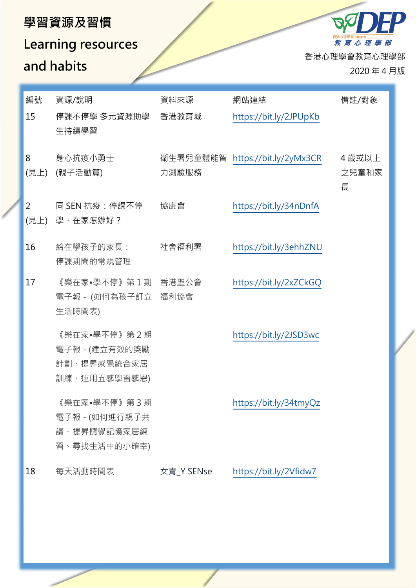#### **學習資源及習慣**

### **Learning resources and habits**

香港心理學會教育心理學部

教育心理學部

**B** 

2020 年 4 月版

| 編號        | 資源/說明                                                         | 資料來源       | 網站連結                            | 備註/對象                |
|-----------|---------------------------------------------------------------|------------|---------------------------------|----------------------|
| 15        | 停課不停學 多元資源助學<br>生持續學習                                         | 香港教育城      | https://bit.ly/2JPUpKb          |                      |
| 8<br>(見上) | 身心抗疫小勇士<br>(親子活動篇)                                            | 力測驗服務      | 衛生署兒童體能智 https://bit.ly/2yMx3CR | 4 歳或以上<br>之兒童和家<br>長 |
| 2         | 同 SEN 抗疫:停課不停<br>(見上) 學,在家怎辦好?                                | 協康會        | https://bit.ly/34nDnfA          |                      |
| 16        | 給在學孩子的家長:<br>停課期間的常規管理                                        | 社會福利署      | https://bit.ly/3ehhZNU          |                      |
| 17        | 《樂在家•學不停》第1期 香港聖公會<br>電子報 - (如何為孩子訂立 福利協會<br>生活時間表)           |            | https://bit.ly/2xZCkGQ          |                      |
|           | 《樂在家•學不停》第2期<br>電子報 - (建立有效的獎勵<br>計劃、提昇感覺統合家居<br>訓練、運用五感學習感恩) |            | https://bit.ly/2JSD3wc          |                      |
|           | 《樂在家•學不停》第3期<br>電子報 - (如何進行親子共<br>讀、提昇聽覺記憶家居練<br>習、尋找生活中的小確幸) |            | https://bit.ly/34tmyQz          |                      |
| 18        | 每天活動時間表                                                       | 女青_Y SENse | https://bit.ly/2Vfidw7          |                      |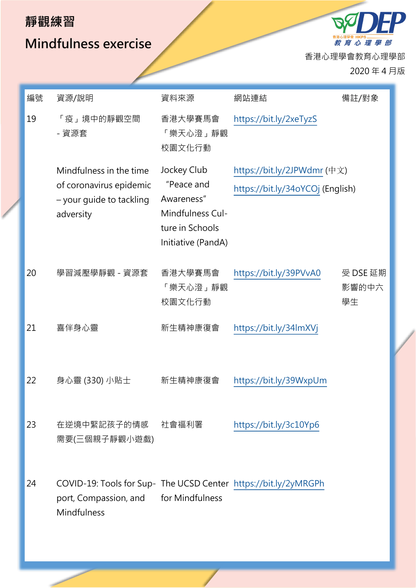#### **靜觀練習**

#### **Mindfulness exercise**

教育心理學部 香港心理學會教育心理學部

 $B_{\mathcal{C}}$ 

2020 年 4 月版

 $\boldsymbol{P}$ 

| 編號 | 資源/說明                                                                                                   | 資料來源                                                                                                 | 網站連結                                                            | 備註/對象                   |
|----|---------------------------------------------------------------------------------------------------------|------------------------------------------------------------------------------------------------------|-----------------------------------------------------------------|-------------------------|
| 19 | 「疫」境中的靜觀空間<br>- 資源套                                                                                     | 香港大學賽馬會<br>「樂天心澄」靜觀<br>校園文化行動                                                                        | https://bit.ly/2xeTyzS                                          |                         |
|    | Mindfulness in the time<br>of coronavirus epidemic<br>- your guide to tackling<br>adversity             | Jockey Club<br>"Peace and<br>Awareness"<br>Mindfulness Cul-<br>ture in Schools<br>Initiative (PandA) | https://bit.ly/2JPWdmr (中文)<br>https://bit.ly/34oYCOj (English) |                         |
| 20 | 學習減壓學靜觀 - 資源套                                                                                           | 香港大學賽馬會<br>「樂天心澄」靜觀<br>校園文化行動                                                                        | https://bit.ly/39PVvA0                                          | 受 DSE 延期<br>影響的中六<br>學生 |
| 21 | 喜伴身心靈                                                                                                   | 新生精神康復會                                                                                              | https://bit.ly/34lmXVj                                          |                         |
| 22 | 身心靈 (330) 小貼士                                                                                           | 新生精神康復會                                                                                              | https://bit.ly/39WxpUm                                          |                         |
| 23 | 在逆境中緊記孩子的情感<br>需要(三個親子靜觀小遊戲)                                                                            | 社會福利署                                                                                                | https://bit.ly/3c10Yp6                                          |                         |
| 24 | COVID-19: Tools for Sup- The UCSD Center https://bit.ly/2yMRGPh<br>port, Compassion, and<br>Mindfulness | for Mindfulness                                                                                      |                                                                 |                         |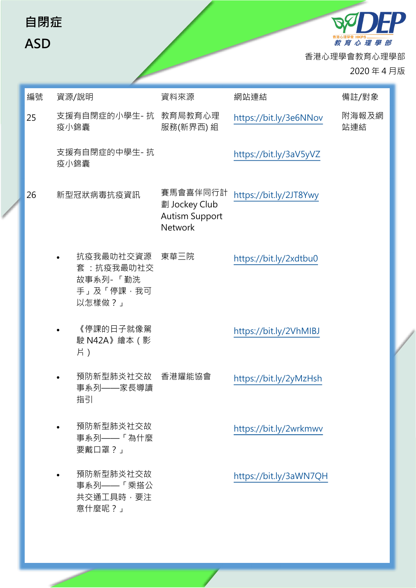| 自閉症<br><b>ASD</b> |                                                           |                                                                      |                        | 教育心理學部<br>香港心理學會教育心理學部<br>2020年4月版 |  |
|-------------------|-----------------------------------------------------------|----------------------------------------------------------------------|------------------------|------------------------------------|--|
| 編號                | 資源/說明                                                     | 資料來源                                                                 | 網站連結                   | 備註/對象                              |  |
| 25                | 支援有自閉症的小學生-抗 教育局教育心理<br>疫小錦囊                              | 服務(新界西) 組                                                            | https://bit.ly/3e6NNov | 附海報及網<br>站連結                       |  |
|                   | 支援有自閉症的中學生-抗<br>疫小錦囊                                      |                                                                      | https://bit.ly/3aV5yVZ |                                    |  |
| 26                | 新型冠狀病毒抗疫資訊                                                | 賽馬會喜伴同行計<br>劃 Jockey Club<br><b>Autism Support</b><br><b>Network</b> | https://bit.ly/2JT8Ywy |                                    |  |
|                   | 抗疫我最叻社交資源<br>套:抗疫我最叻社交<br>故事系列-「勤洗<br>手」及「停課,我可<br>以怎樣做?」 | 東華三院                                                                 | https://bit.ly/2xdtbu0 |                                    |  |
|                   | 《停課的日子就像駕<br>駛 N42A》繪本 (影<br>片)                           |                                                                      | https://bit.ly/2VhMIBJ |                                    |  |
|                   | 預防新型肺炎社交故 香港耀能協會<br>$\bullet$<br>事系列——家長導讀<br>指引          |                                                                      | https://bit.ly/2yMzHsh |                                    |  |
|                   | 預防新型肺炎社交故<br>$\bullet$<br>事系列 -- 「為什麼<br>要戴口罩?」           |                                                                      | https://bit.ly/2wrkmwv |                                    |  |
|                   | 預防新型肺炎社交故<br>事系列 -- 「乘搭公<br>共交通工具時,要注<br>意什麼呢?」           |                                                                      | https://bit.ly/3aWN7QH |                                    |  |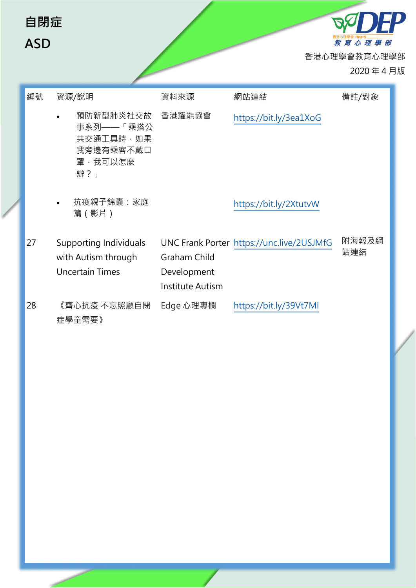| 自閉症<br><b>ASD</b> |                                                                                |                                                               |                                           | 教育心理學部<br>香港心理學會教育心理學部<br>2020年4月版 |  |
|-------------------|--------------------------------------------------------------------------------|---------------------------------------------------------------|-------------------------------------------|------------------------------------|--|
| 編號                | 資源/說明                                                                          | 資料來源                                                          | 網站連結                                      | 備註/對象                              |  |
|                   | 預防新型肺炎社交故<br>事系列 -- 「乘搭公<br>共交通工具時,如果<br>我旁邊有乘客不戴口<br>罩,我可以怎麼<br>辦?」           | 香港耀能協會                                                        | https://bit.ly/3ea1XoG                    |                                    |  |
|                   | 抗疫親子錦囊:家庭<br>篇(影片)                                                             |                                                               | https://bit.ly/2XtutvW                    |                                    |  |
| 27                | <b>Supporting Individuals</b><br>with Autism through<br><b>Uncertain Times</b> | <b>Graham Child</b><br>Development<br><b>Institute Autism</b> | UNC Frank Porter https://unc.live/2USJMfG | 附海報及網<br>站連結                       |  |
| 28                | 《齊心抗疫 不忘照顧自閉<br>症學童需要》                                                         | Edge 心理專欄                                                     | https://bit.ly/39Vt7MI                    |                                    |  |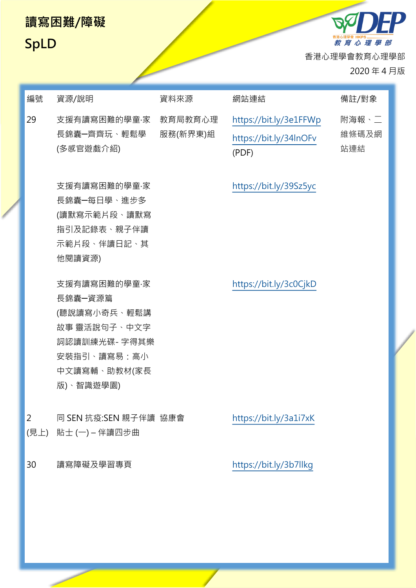#### **讀寫困難/障礙**



<sup><sub>番港心理學會 HKPS</sub> \_\_\_\_\_\_\_\_\_\_\_\_\_<br>*教 育 心 理 學 部*</sup> 香港心理學會教育心理學部 2020 年 4 月版

FP

| 編號             | 資源/說明                                                                                                                | 資料來源                | 網站連結                                                      | 備註/對象                 |
|----------------|----------------------------------------------------------------------------------------------------------------------|---------------------|-----------------------------------------------------------|-----------------------|
| 29             | 支援有讀寫困難的學童·家<br>長錦囊一齊齊玩、輕鬆學<br>(多感官遊戲介紹)                                                                             | 教育局教育心理<br>服務(新界東)組 | https://bit.ly/3e1FFWp<br>https://bit.ly/34InOFv<br>(PDF) | 附海報、二<br>維條碼及網<br>站連結 |
|                | 支援有讀寫困難的學童·家<br>長錦囊━每日學、進步多<br>(讀默寫示範片段、讀默寫<br>指引及記錄表、親子伴讀<br>示範片段、伴讀日記、其<br>他閱讀資源)                                  |                     | https://bit.ly/39Sz5yc                                    |                       |
|                | 支援有讀寫困難的學童·家<br>長錦囊一資源篇<br>(聽說讀寫小奇兵、輕鬆講<br>故事 靈活說句子、中文字<br>詞認讀訓練光碟- 字得其樂<br>安裝指引、讀寫易:高小<br>中文讀寫輔、助教材(家長<br>版)、智識遊學園) |                     | https://bit.ly/3c0CjkD                                    |                       |
| $\overline{2}$ | 同 SEN 抗疫:SEN 親子伴讀 協康會<br>(見上) 貼士 (一) - 伴讀四步曲                                                                         |                     | https://bit.ly/3a1i7xK                                    |                       |
| 30             | 讀寫障礙及學習專頁                                                                                                            |                     | https://bit.ly/3b7llkg                                    |                       |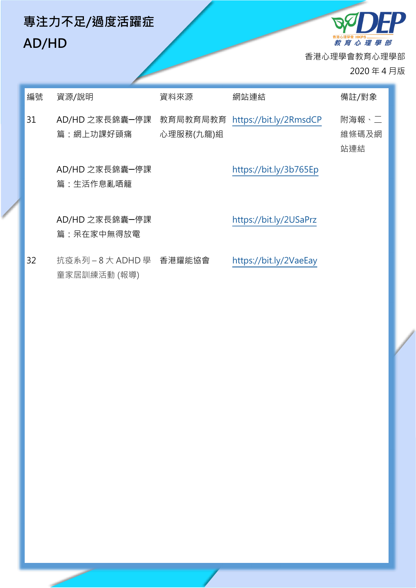## **專注力不足/過度活躍症 AD/HD**

教育 心 理 學 部 香港心理學會教育心理學部 2020 年 4 月版

**QOEP** 

| 編號 | 資源/說明                                 | 資料來源                  | 網站連結                   | 備註/對象                 |
|----|---------------------------------------|-----------------------|------------------------|-----------------------|
| 31 | AD/HD 之家長錦囊一停課<br>篇:網上功課好頭痛           | 教育局教育局教育<br>心理服務(九龍)組 | https://bit.ly/2RmsdCP | 附海報、二<br>維條碼及網<br>站連結 |
|    | AD/HD 之家長錦囊一停課<br>篇:生活作息亂哂籠           |                       | https://bit.ly/3b765Ep |                       |
|    | AD/HD 之家長錦囊一停課<br>篇:呆在家中無得放電          |                       | https://bit.ly/2USaPrz |                       |
| 32 | 抗疫系列-8大 ADHD 學 香港耀能協會<br>童家居訓練活動 (報導) |                       | https://bit.ly/2VaeEay |                       |